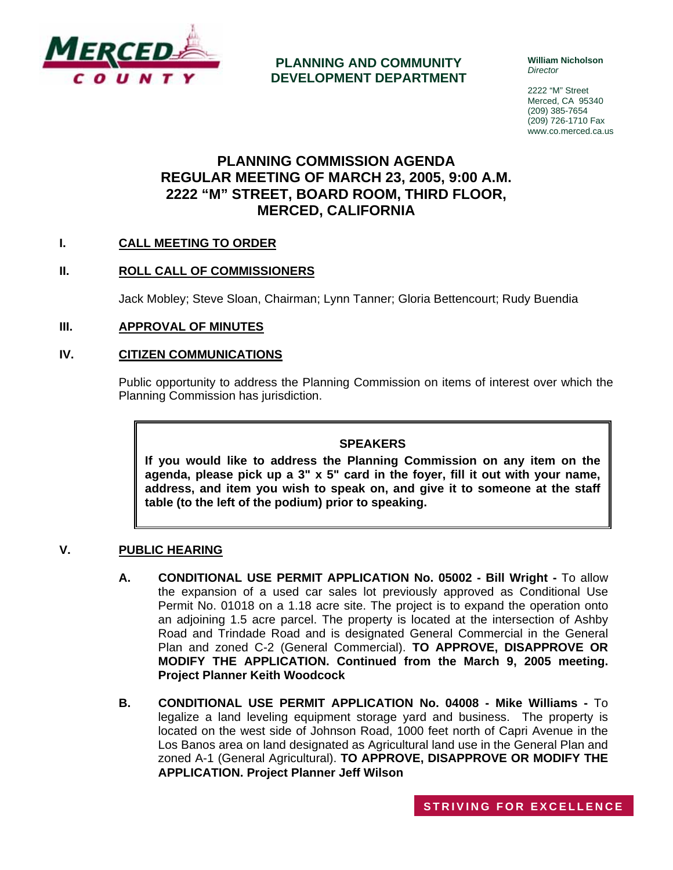

**PLANNING AND COMMUNITY DEVELOPMENT DEPARTMENT** **William Nicholson**  *Director* 

2222 "M" Street Merced, CA 95340 (209) 385-7654 (209) 726-1710 Fax www.co.merced.ca.us

# **PLANNING COMMISSION AGENDA REGULAR MEETING OF MARCH 23, 2005, 9:00 A.M. 2222 "M" STREET, BOARD ROOM, THIRD FLOOR, MERCED, CALIFORNIA**

## **I. CALL MEETING TO ORDER**

## **II. ROLL CALL OF COMMISSIONERS**

Jack Mobley; Steve Sloan, Chairman; Lynn Tanner; Gloria Bettencourt; Rudy Buendia

#### **III. APPROVAL OF MINUTES**

#### **IV. CITIZEN COMMUNICATIONS**

Public opportunity to address the Planning Commission on items of interest over which the Planning Commission has jurisdiction.

#### **SPEAKERS**

**If you would like to address the Planning Commission on any item on the agenda, please pick up a 3" x 5" card in the foyer, fill it out with your name, address, and item you wish to speak on, and give it to someone at the staff table (to the left of the podium) prior to speaking.**

## **V. PUBLIC HEARING**

- **A. CONDITIONAL USE PERMIT APPLICATION No. 05002 Bill Wright -** To allow the expansion of a used car sales lot previously approved as Conditional Use Permit No. 01018 on a 1.18 acre site. The project is to expand the operation onto an adjoining 1.5 acre parcel. The property is located at the intersection of Ashby Road and Trindade Road and is designated General Commercial in the General Plan and zoned C-2 (General Commercial). **TO APPROVE, DISAPPROVE OR MODIFY THE APPLICATION. Continued from the March 9, 2005 meeting. Project Planner Keith Woodcock**
- **B. CONDITIONAL USE PERMIT APPLICATION No. 04008 Mike Williams** To legalize a land leveling equipment storage yard and business. The property is located on the west side of Johnson Road, 1000 feet north of Capri Avenue in the Los Banos area on land designated as Agricultural land use in the General Plan and zoned A-1 (General Agricultural). **TO APPROVE, DISAPPROVE OR MODIFY THE APPLICATION. Project Planner Jeff Wilson**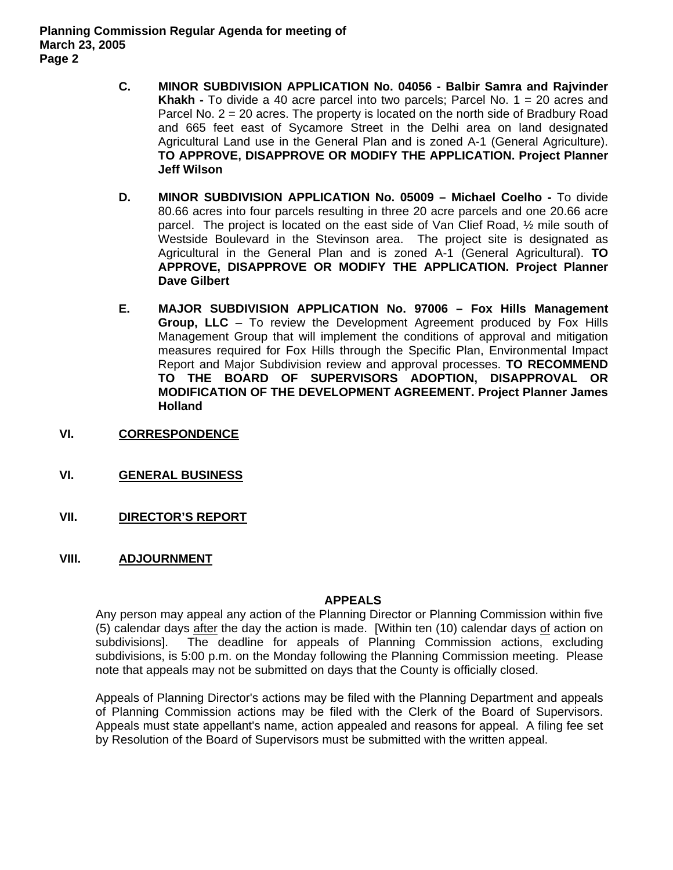- **C. MINOR SUBDIVISION APPLICATION No. 04056 Balbir Samra and Rajvinder Khakh -** To divide a 40 acre parcel into two parcels; Parcel No. 1 = 20 acres and Parcel No. 2 = 20 acres. The property is located on the north side of Bradbury Road and 665 feet east of Sycamore Street in the Delhi area on land designated Agricultural Land use in the General Plan and is zoned A-1 (General Agriculture). **TO APPROVE, DISAPPROVE OR MODIFY THE APPLICATION. Project Planner Jeff Wilson**
- **D. MINOR SUBDIVISION APPLICATION No. 05009 Michael Coelho** To divide 80.66 acres into four parcels resulting in three 20 acre parcels and one 20.66 acre parcel. The project is located on the east side of Van Clief Road, ½ mile south of Westside Boulevard in the Stevinson area. The project site is designated as Agricultural in the General Plan and is zoned A-1 (General Agricultural). **TO APPROVE, DISAPPROVE OR MODIFY THE APPLICATION. Project Planner Dave Gilbert**
- **E. MAJOR SUBDIVISION APPLICATION No. 97006 Fox Hills Management Group, LLC** – To review the Development Agreement produced by Fox Hills Management Group that will implement the conditions of approval and mitigation measures required for Fox Hills through the Specific Plan, Environmental Impact Report and Major Subdivision review and approval processes. **TO RECOMMEND TO THE BOARD OF SUPERVISORS ADOPTION, DISAPPROVAL OR MODIFICATION OF THE DEVELOPMENT AGREEMENT. Project Planner James Holland**
- **VI. CORRESPONDENCE**
- **VI. GENERAL BUSINESS**
- **VII. DIRECTOR'S REPORT**
- **VIII. ADJOURNMENT**

#### **APPEALS**

Any person may appeal any action of the Planning Director or Planning Commission within five (5) calendar days after the day the action is made. [Within ten (10) calendar days of action on subdivisions]. The deadline for appeals of Planning Commission actions, excluding subdivisions, is 5:00 p.m. on the Monday following the Planning Commission meeting. Please note that appeals may not be submitted on days that the County is officially closed.

Appeals of Planning Director's actions may be filed with the Planning Department and appeals of Planning Commission actions may be filed with the Clerk of the Board of Supervisors. Appeals must state appellant's name, action appealed and reasons for appeal. A filing fee set by Resolution of the Board of Supervisors must be submitted with the written appeal.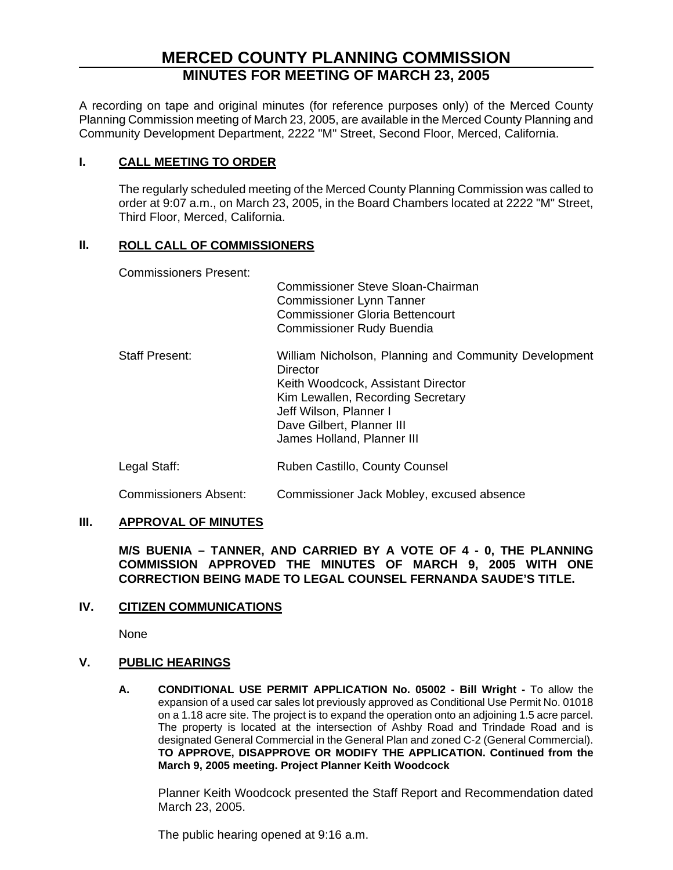# **MERCED COUNTY PLANNING COMMISSION MINUTES FOR MEETING OF MARCH 23, 2005**

A recording on tape and original minutes (for reference purposes only) of the Merced County Planning Commission meeting of March 23, 2005, are available in the Merced County Planning and Community Development Department, 2222 "M" Street, Second Floor, Merced, California.

## **I. CALL MEETING TO ORDER**

The regularly scheduled meeting of the Merced County Planning Commission was called to order at 9:07 a.m., on March 23, 2005, in the Board Chambers located at 2222 "M" Street, Third Floor, Merced, California.

## **II. ROLL CALL OF COMMISSIONERS**

Commissioners Present:

|                       | Commissioner Steve Sloan-Chairman<br><b>Commissioner Lynn Tanner</b><br><b>Commissioner Gloria Bettencourt</b><br><b>Commissioner Rudy Buendia</b>                                                                                |
|-----------------------|-----------------------------------------------------------------------------------------------------------------------------------------------------------------------------------------------------------------------------------|
| <b>Staff Present:</b> | William Nicholson, Planning and Community Development<br>Director<br>Keith Woodcock, Assistant Director<br>Kim Lewallen, Recording Secretary<br>Jeff Wilson, Planner I<br>Dave Gilbert, Planner III<br>James Holland, Planner III |
| Legal Staff:          | Ruben Castillo, County Counsel                                                                                                                                                                                                    |

# Commissioners Absent: Commissioner Jack Mobley, excused absence

## **III. APPROVAL OF MINUTES**

**M/S BUENIA – TANNER, AND CARRIED BY A VOTE OF 4 - 0, THE PLANNING COMMISSION APPROVED THE MINUTES OF MARCH 9, 2005 WITH ONE CORRECTION BEING MADE TO LEGAL COUNSEL FERNANDA SAUDE'S TITLE.**

## **IV. CITIZEN COMMUNICATIONS**

None

## **V. PUBLIC HEARINGS**

**A. CONDITIONAL USE PERMIT APPLICATION No. 05002 - Bill Wright -** To allow the expansion of a used car sales lot previously approved as Conditional Use Permit No. 01018 on a 1.18 acre site. The project is to expand the operation onto an adjoining 1.5 acre parcel. The property is located at the intersection of Ashby Road and Trindade Road and is designated General Commercial in the General Plan and zoned C-2 (General Commercial). **TO APPROVE, DISAPPROVE OR MODIFY THE APPLICATION. Continued from the March 9, 2005 meeting. Project Planner Keith Woodcock**

Planner Keith Woodcock presented the Staff Report and Recommendation dated March 23, 2005.

The public hearing opened at 9:16 a.m.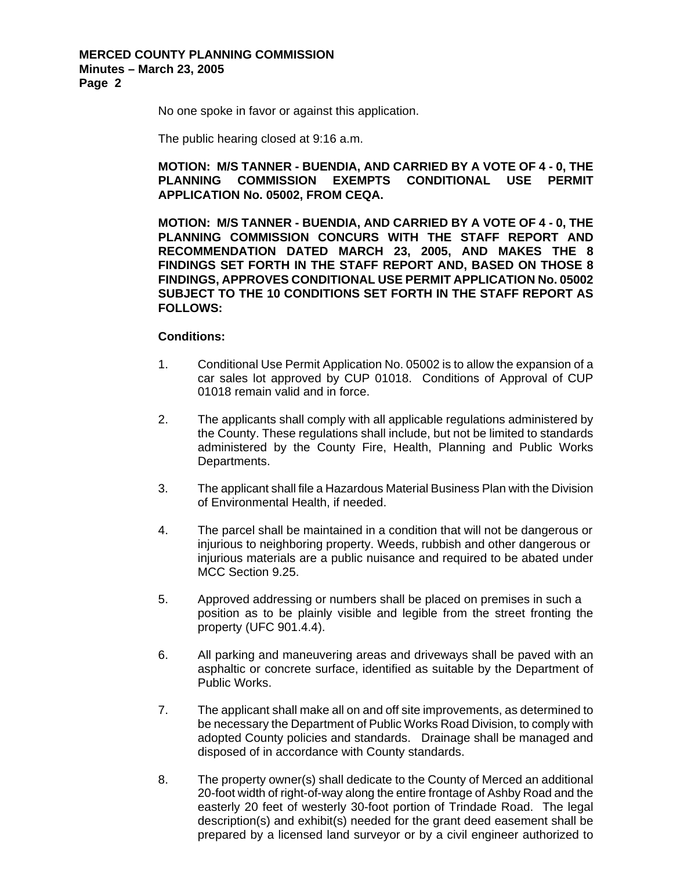No one spoke in favor or against this application.

The public hearing closed at 9:16 a.m.

## **MOTION: M/S TANNER - BUENDIA, AND CARRIED BY A VOTE OF 4 - 0, THE PLANNING COMMISSION EXEMPTS CONDITIONAL USE PERMIT APPLICATION No. 05002, FROM CEQA.**

**MOTION: M/S TANNER - BUENDIA, AND CARRIED BY A VOTE OF 4 - 0, THE PLANNING COMMISSION CONCURS WITH THE STAFF REPORT AND RECOMMENDATION DATED MARCH 23, 2005, AND MAKES THE 8 FINDINGS SET FORTH IN THE STAFF REPORT AND, BASED ON THOSE 8 FINDINGS, APPROVES CONDITIONAL USE PERMIT APPLICATION No. 05002 SUBJECT TO THE 10 CONDITIONS SET FORTH IN THE STAFF REPORT AS FOLLOWS:** 

#### **Conditions:**

- 1. Conditional Use Permit Application No. 05002 is to allow the expansion of a car sales lot approved by CUP 01018. Conditions of Approval of CUP 01018 remain valid and in force.
- 2. The applicants shall comply with all applicable regulations administered by the County. These regulations shall include, but not be limited to standards administered by the County Fire, Health, Planning and Public Works Departments.
- 3. The applicant shall file a Hazardous Material Business Plan with the Division of Environmental Health, if needed.
- 4. The parcel shall be maintained in a condition that will not be dangerous or injurious to neighboring property. Weeds, rubbish and other dangerous or injurious materials are a public nuisance and required to be abated under MCC Section 9.25.
- 5. Approved addressing or numbers shall be placed on premises in such a position as to be plainly visible and legible from the street fronting the property (UFC 901.4.4).
- 6. All parking and maneuvering areas and driveways shall be paved with an asphaltic or concrete surface, identified as suitable by the Department of Public Works.
- 7. The applicant shall make all on and off site improvements, as determined to be necessary the Department of Public Works Road Division, to comply with adopted County policies and standards. Drainage shall be managed and disposed of in accordance with County standards.
- 8. The property owner(s) shall dedicate to the County of Merced an additional 20-foot width of right-of-way along the entire frontage of Ashby Road and the easterly 20 feet of westerly 30-foot portion of Trindade Road. The legal description(s) and exhibit(s) needed for the grant deed easement shall be prepared by a licensed land surveyor or by a civil engineer authorized to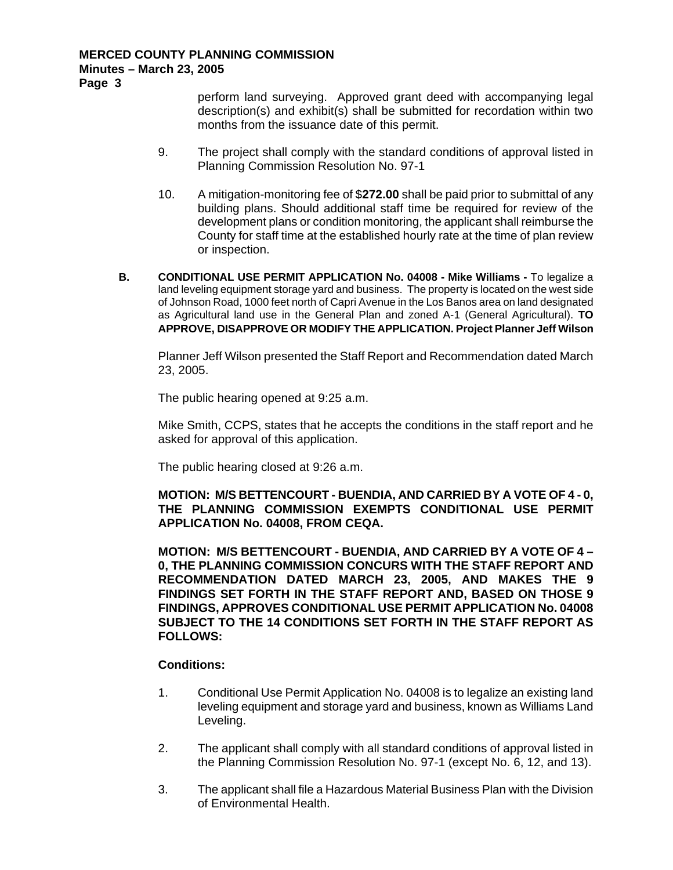**Page 3** 

perform land surveying. Approved grant deed with accompanying legal description(s) and exhibit(s) shall be submitted for recordation within two months from the issuance date of this permit.

- 9. The project shall comply with the standard conditions of approval listed in Planning Commission Resolution No. 97-1
- 10. A mitigation-monitoring fee of \$**272.00** shall be paid prior to submittal of any building plans. Should additional staff time be required for review of the development plans or condition monitoring, the applicant shall reimburse the County for staff time at the established hourly rate at the time of plan review or inspection.
- **B. CONDITIONAL USE PERMIT APPLICATION No. 04008 Mike Williams To legalize a** land leveling equipment storage yard and business. The property is located on the west side of Johnson Road, 1000 feet north of Capri Avenue in the Los Banos area on land designated as Agricultural land use in the General Plan and zoned A-1 (General Agricultural). **TO APPROVE, DISAPPROVE OR MODIFY THE APPLICATION. Project Planner Jeff Wilson**

Planner Jeff Wilson presented the Staff Report and Recommendation dated March 23, 2005.

The public hearing opened at 9:25 a.m.

Mike Smith, CCPS, states that he accepts the conditions in the staff report and he asked for approval of this application.

The public hearing closed at 9:26 a.m.

**MOTION: M/S BETTENCOURT - BUENDIA, AND CARRIED BY A VOTE OF 4 - 0, THE PLANNING COMMISSION EXEMPTS CONDITIONAL USE PERMIT APPLICATION No. 04008, FROM CEQA.** 

**MOTION: M/S BETTENCOURT - BUENDIA, AND CARRIED BY A VOTE OF 4 – 0, THE PLANNING COMMISSION CONCURS WITH THE STAFF REPORT AND RECOMMENDATION DATED MARCH 23, 2005, AND MAKES THE 9 FINDINGS SET FORTH IN THE STAFF REPORT AND, BASED ON THOSE 9 FINDINGS, APPROVES CONDITIONAL USE PERMIT APPLICATION No. 04008 SUBJECT TO THE 14 CONDITIONS SET FORTH IN THE STAFF REPORT AS FOLLOWS:** 

#### **Conditions:**

- 1. Conditional Use Permit Application No. 04008 is to legalize an existing land leveling equipment and storage yard and business, known as Williams Land Leveling.
- 2. The applicant shall comply with all standard conditions of approval listed in the Planning Commission Resolution No. 97-1 (except No. 6, 12, and 13).
- 3. The applicant shall file a Hazardous Material Business Plan with the Division of Environmental Health.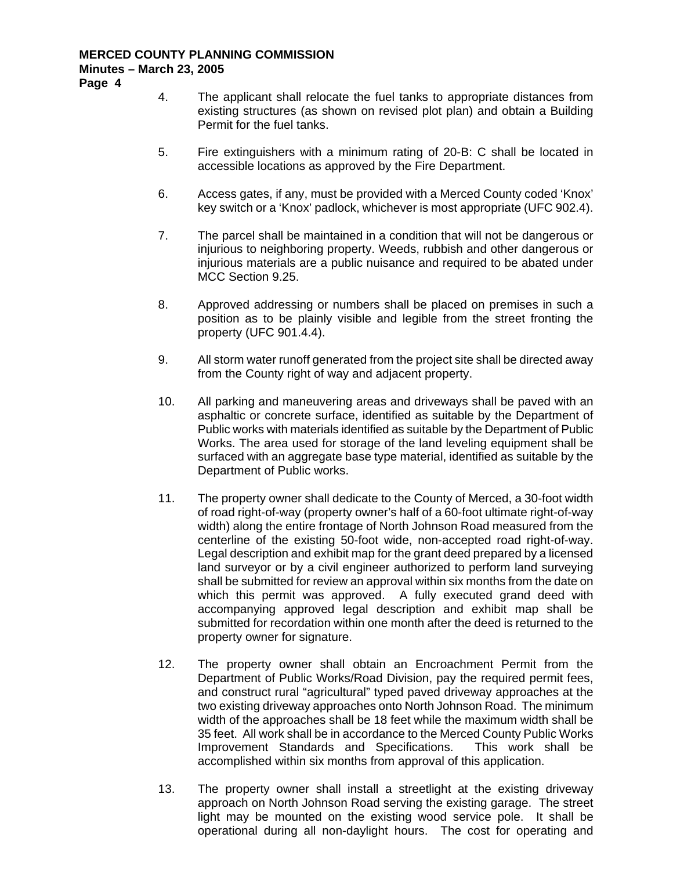**Page 4** 

- 4. The applicant shall relocate the fuel tanks to appropriate distances from existing structures (as shown on revised plot plan) and obtain a Building Permit for the fuel tanks.
- 5. Fire extinguishers with a minimum rating of 20-B: C shall be located in accessible locations as approved by the Fire Department.
- 6. Access gates, if any, must be provided with a Merced County coded 'Knox' key switch or a 'Knox' padlock, whichever is most appropriate (UFC 902.4).
- 7. The parcel shall be maintained in a condition that will not be dangerous or injurious to neighboring property. Weeds, rubbish and other dangerous or injurious materials are a public nuisance and required to be abated under MCC Section 9.25.
- 8. Approved addressing or numbers shall be placed on premises in such a position as to be plainly visible and legible from the street fronting the property (UFC 901.4.4).
- 9. All storm water runoff generated from the project site shall be directed away from the County right of way and adjacent property.
- 10. All parking and maneuvering areas and driveways shall be paved with an asphaltic or concrete surface, identified as suitable by the Department of Public works with materials identified as suitable by the Department of Public Works. The area used for storage of the land leveling equipment shall be surfaced with an aggregate base type material, identified as suitable by the Department of Public works.
- 11. The property owner shall dedicate to the County of Merced, a 30-foot width of road right-of-way (property owner's half of a 60-foot ultimate right-of-way width) along the entire frontage of North Johnson Road measured from the centerline of the existing 50-foot wide, non-accepted road right-of-way. Legal description and exhibit map for the grant deed prepared by a licensed land surveyor or by a civil engineer authorized to perform land surveying shall be submitted for review an approval within six months from the date on which this permit was approved. A fully executed grand deed with accompanying approved legal description and exhibit map shall be submitted for recordation within one month after the deed is returned to the property owner for signature.
- 12. The property owner shall obtain an Encroachment Permit from the Department of Public Works/Road Division, pay the required permit fees, and construct rural "agricultural" typed paved driveway approaches at the two existing driveway approaches onto North Johnson Road. The minimum width of the approaches shall be 18 feet while the maximum width shall be 35 feet. All work shall be in accordance to the Merced County Public Works Improvement Standards and Specifications. This work shall be accomplished within six months from approval of this application.
- 13. The property owner shall install a streetlight at the existing driveway approach on North Johnson Road serving the existing garage. The street light may be mounted on the existing wood service pole. It shall be operational during all non-daylight hours. The cost for operating and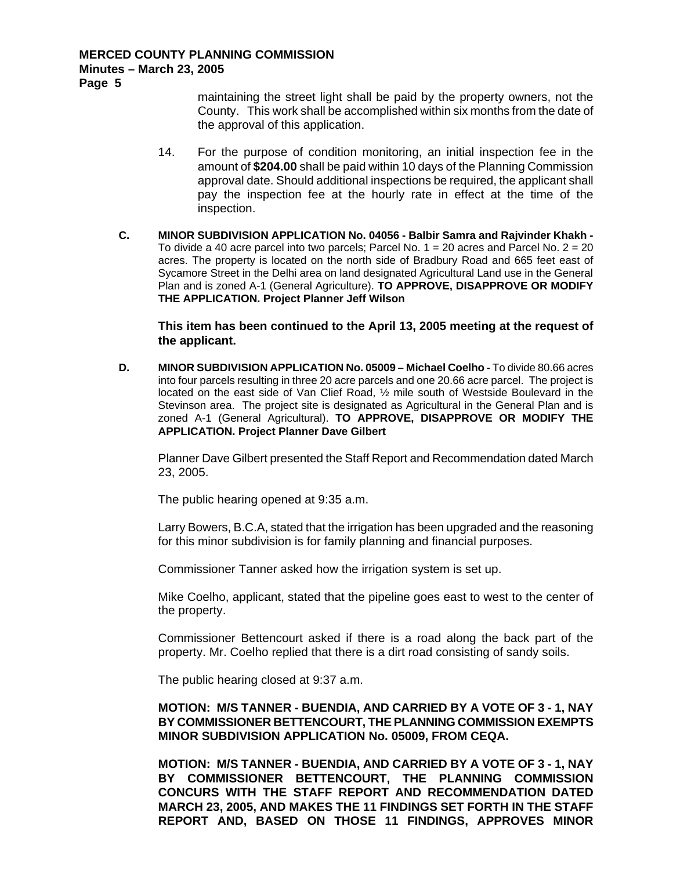**Page 5** 

maintaining the street light shall be paid by the property owners, not the County. This work shall be accomplished within six months from the date of the approval of this application.

- 14. For the purpose of condition monitoring, an initial inspection fee in the amount of **\$204.00** shall be paid within 10 days of the Planning Commission approval date. Should additional inspections be required, the applicant shall pay the inspection fee at the hourly rate in effect at the time of the inspection.
- **C. MINOR SUBDIVISION APPLICATION No. 04056 Balbir Samra and Rajvinder Khakh**  To divide a 40 acre parcel into two parcels; Parcel No.  $1 = 20$  acres and Parcel No.  $2 = 20$ acres. The property is located on the north side of Bradbury Road and 665 feet east of Sycamore Street in the Delhi area on land designated Agricultural Land use in the General Plan and is zoned A-1 (General Agriculture). **TO APPROVE, DISAPPROVE OR MODIFY THE APPLICATION. Project Planner Jeff Wilson**

**This item has been continued to the April 13, 2005 meeting at the request of the applicant.** 

**D. MINOR SUBDIVISION APPLICATION No. 05009 – Michael Coelho -** To divide 80.66 acres into four parcels resulting in three 20 acre parcels and one 20.66 acre parcel. The project is located on the east side of Van Clief Road, ½ mile south of Westside Boulevard in the Stevinson area. The project site is designated as Agricultural in the General Plan and is zoned A-1 (General Agricultural). **TO APPROVE, DISAPPROVE OR MODIFY THE APPLICATION. Project Planner Dave Gilbert** 

Planner Dave Gilbert presented the Staff Report and Recommendation dated March 23, 2005.

The public hearing opened at 9:35 a.m.

Larry Bowers, B.C.A, stated that the irrigation has been upgraded and the reasoning for this minor subdivision is for family planning and financial purposes.

Commissioner Tanner asked how the irrigation system is set up.

Mike Coelho, applicant, stated that the pipeline goes east to west to the center of the property.

Commissioner Bettencourt asked if there is a road along the back part of the property. Mr. Coelho replied that there is a dirt road consisting of sandy soils.

The public hearing closed at 9:37 a.m.

**MOTION: M/S TANNER - BUENDIA, AND CARRIED BY A VOTE OF 3 - 1, NAY BY COMMISSIONER BETTENCOURT, THE PLANNING COMMISSION EXEMPTS MINOR SUBDIVISION APPLICATION No. 05009, FROM CEQA.** 

**MOTION: M/S TANNER - BUENDIA, AND CARRIED BY A VOTE OF 3 - 1, NAY BY COMMISSIONER BETTENCOURT, THE PLANNING COMMISSION CONCURS WITH THE STAFF REPORT AND RECOMMENDATION DATED MARCH 23, 2005, AND MAKES THE 11 FINDINGS SET FORTH IN THE STAFF REPORT AND, BASED ON THOSE 11 FINDINGS, APPROVES MINOR**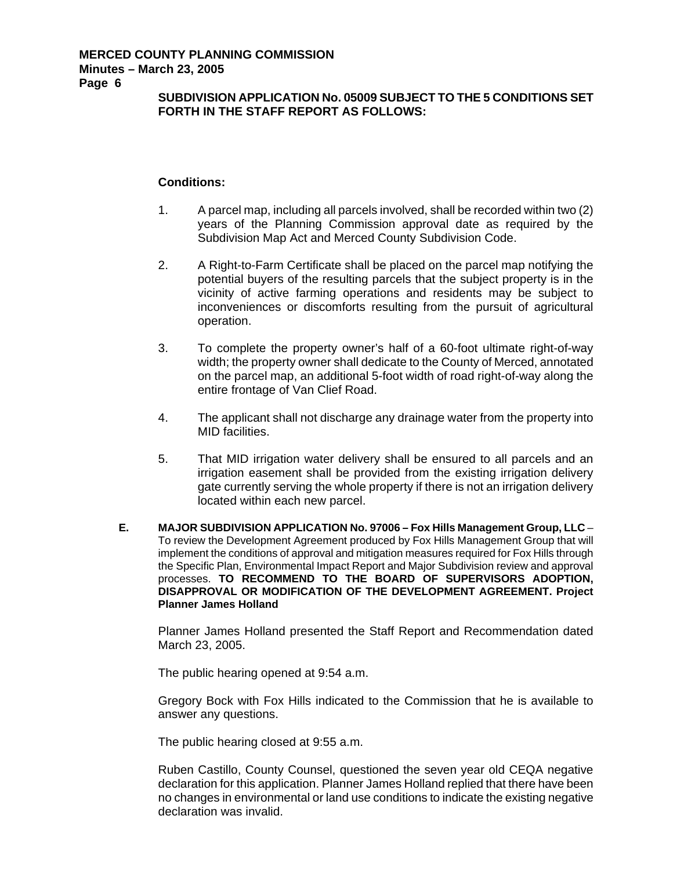**Page 6** 

## **SUBDIVISION APPLICATION No. 05009 SUBJECT TO THE 5 CONDITIONS SET FORTH IN THE STAFF REPORT AS FOLLOWS:**

## **Conditions:**

- 1. A parcel map, including all parcels involved, shall be recorded within two (2) years of the Planning Commission approval date as required by the Subdivision Map Act and Merced County Subdivision Code.
- 2. A Right-to-Farm Certificate shall be placed on the parcel map notifying the potential buyers of the resulting parcels that the subject property is in the vicinity of active farming operations and residents may be subject to inconveniences or discomforts resulting from the pursuit of agricultural operation.
- 3. To complete the property owner's half of a 60-foot ultimate right-of-way width; the property owner shall dedicate to the County of Merced, annotated on the parcel map, an additional 5-foot width of road right-of-way along the entire frontage of Van Clief Road.
- 4. The applicant shall not discharge any drainage water from the property into MID facilities.
- 5. That MID irrigation water delivery shall be ensured to all parcels and an irrigation easement shall be provided from the existing irrigation delivery gate currently serving the whole property if there is not an irrigation delivery located within each new parcel.
- **E. MAJOR SUBDIVISION APPLICATION No. 97006 Fox Hills Management Group, LLC**  To review the Development Agreement produced by Fox Hills Management Group that will implement the conditions of approval and mitigation measures required for Fox Hills through the Specific Plan, Environmental Impact Report and Major Subdivision review and approval processes. **TO RECOMMEND TO THE BOARD OF SUPERVISORS ADOPTION, DISAPPROVAL OR MODIFICATION OF THE DEVELOPMENT AGREEMENT. Project Planner James Holland**

Planner James Holland presented the Staff Report and Recommendation dated March 23, 2005.

The public hearing opened at 9:54 a.m.

Gregory Bock with Fox Hills indicated to the Commission that he is available to answer any questions.

The public hearing closed at 9:55 a.m.

Ruben Castillo, County Counsel, questioned the seven year old CEQA negative declaration for this application. Planner James Holland replied that there have been no changes in environmental or land use conditions to indicate the existing negative declaration was invalid.